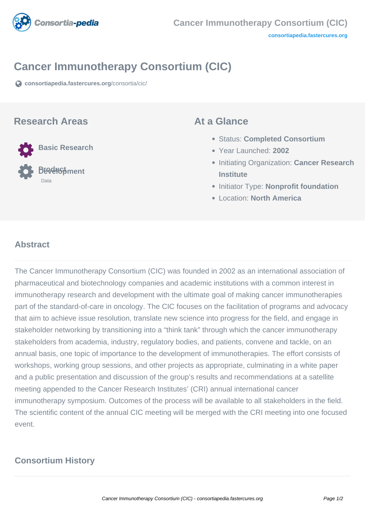

## **Cancer Immunotherapy Consortium (CIC)**

**[consortiapedia.fastercures.org](https://consortiapedia.fastercures.org/consortia/cic/)**[/consortia/cic/](https://consortiapedia.fastercures.org/consortia/cic/)

#### **Research Areas**



#### **At a Glance**

- Status: **Completed Consortium**
- Year Launched: **2002**
- **Initiating Organization: Cancer Research Institute**
- **Initiator Type: Nonprofit foundation**
- Location: **North America**

#### $\overline{\phantom{a}}$ **Abstract**

The Cancer Immunotherapy Consortium (CIC) was founded in 2002 as an international association of pharmaceutical and biotechnology companies and academic institutions with a common interest in immunotherapy research and development with the ultimate goal of making cancer immunotherapies part of the standard-of-care in oncology. The CIC focuses on the facilitation of programs and advocacy that aim to achieve issue resolution, translate new science into progress for the field, and engage in stakeholder networking by transitioning into a "think tank" through which the cancer immunotherapy stakeholders from academia, industry, regulatory bodies, and patients, convene and tackle, on an annual basis, one topic of importance to the development of immunotherapies. The effort consists of workshops, working group sessions, and other projects as appropriate, culminating in a white paper and a public presentation and discussion of the group's results and recommendations at a satellite meeting appended to the Cancer Research Institutes' (CRI) annual international cancer immunotherapy symposium. Outcomes of the process will be available to all stakeholders in the field. The scientific content of the annual CIC meeting will be merged with the CRI meeting into one focused event.

# **Consortium History**